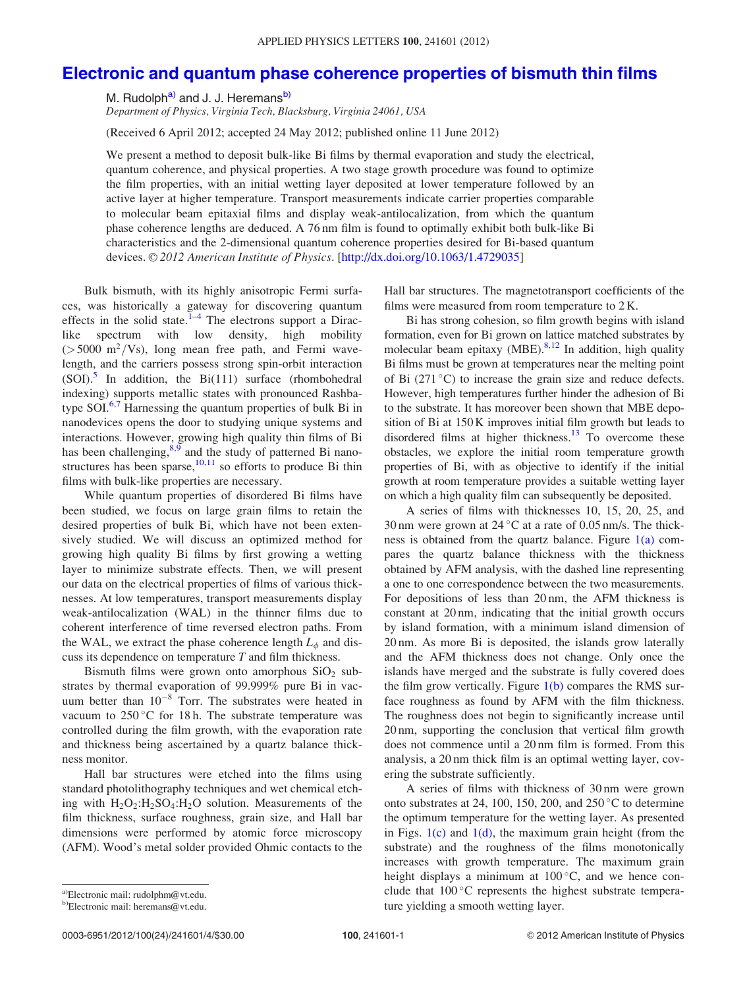## [Electronic and quantum phase coherence properties of bismuth thin films](http://dx.doi.org/10.1063/1.4729035)

M. Rudolph<sup>a)</sup> and J. J. Heremans<sup>b)</sup>

Department of Physics, Virginia Tech, Blacksburg, Virginia 24061, USA

(Received 6 April 2012; accepted 24 May 2012; published online 11 June 2012)

We present a method to deposit bulk-like Bi films by thermal evaporation and study the electrical, quantum coherence, and physical properties. A two stage growth procedure was found to optimize the film properties, with an initial wetting layer deposited at lower temperature followed by an active layer at higher temperature. Transport measurements indicate carrier properties comparable to molecular beam epitaxial films and display weak-antilocalization, from which the quantum phase coherence lengths are deduced. A 76 nm film is found to optimally exhibit both bulk-like Bi characteristics and the 2-dimensional quantum coherence properties desired for Bi-based quantum devices. © 2012 American Institute of Physics. [\[http://dx.doi.org/10.1063/1.4729035](http://dx.doi.org/10.1063/1.4729035)]

Bulk bismuth, with its highly anisotropic Fermi surfaces, was historically a gateway for discovering quantum effects in the solid state.<sup>[1–4](#page-2-0)</sup> The electrons support a Diraclike spectrum with low density, high mobility  $(5000 \text{ m}^2/\text{Vs})$ , long mean free path, and Fermi wavelength, and the carriers possess strong spin-orbit interaction  $(SOI)$ <sup>[5](#page-2-0)</sup> In addition, the Bi $(111)$  surface (rhombohedral indexing) supports metallic states with pronounced Rashbatype SOI. $6.7$  Harnessing the quantum properties of bulk Bi in nanodevices opens the door to studying unique systems and interactions. However, growing high quality thin films of Bi has been challenging, $8.9$  and the study of patterned Bi nanostructures has been sparse,  $10,11$  $10,11$  so efforts to produce Bi thin films with bulk-like properties are necessary.

While quantum properties of disordered Bi films have been studied, we focus on large grain films to retain the desired properties of bulk Bi, which have not been extensively studied. We will discuss an optimized method for growing high quality Bi films by first growing a wetting layer to minimize substrate effects. Then, we will present our data on the electrical properties of films of various thicknesses. At low temperatures, transport measurements display weak-antilocalization (WAL) in the thinner films due to coherent interference of time reversed electron paths. From the WAL, we extract the phase coherence length  $L_{\phi}$  and discuss its dependence on temperature  $T$  and film thickness.

Bismuth films were grown onto amorphous  $SiO<sub>2</sub>$  substrates by thermal evaporation of 99.999% pure Bi in vacuum better than  $10^{-8}$  Torr. The substrates were heated in vacuum to  $250^{\circ}$ C for 18 h. The substrate temperature was controlled during the film growth, with the evaporation rate and thickness being ascertained by a quartz balance thickness monitor.

Hall bar structures were etched into the films using standard photolithography techniques and wet chemical etching with  $H_2O_2$ : $H_2SO_4$ : $H_2O$  solution. Measurements of the film thickness, surface roughness, grain size, and Hall bar dimensions were performed by atomic force microscopy (AFM). Wood's metal solder provided Ohmic contacts to the

a)Electronic mail: rudolphm@vt.edu.

Hall bar structures. The magnetotransport coefficients of the films were measured from room temperature to 2 K.

Bi has strong cohesion, so film growth begins with island formation, even for Bi grown on lattice matched substrates by molecular beam epitaxy (MBE). $8,12$  $8,12$  In addition, high quality Bi films must be grown at temperatures near the melting point of Bi  $(271 \degree C)$  to increase the grain size and reduce defects. However, high temperatures further hinder the adhesion of Bi to the substrate. It has moreover been shown that MBE deposition of Bi at 150 K improves initial film growth but leads to disordered films at higher thickness.<sup>13</sup> To overcome these obstacles, we explore the initial room temperature growth properties of Bi, with as objective to identify if the initial growth at room temperature provides a suitable wetting layer on which a high quality film can subsequently be deposited.

A series of films with thicknesses 10, 15, 20, 25, and 30 nm were grown at  $24^{\circ}$ C at a rate of 0.05 nm/s. The thickness is obtained from the quartz balance. Figure  $1(a)$  compares the quartz balance thickness with the thickness obtained by AFM analysis, with the dashed line representing a one to one correspondence between the two measurements. For depositions of less than 20 nm, the AFM thickness is constant at 20 nm, indicating that the initial growth occurs by island formation, with a minimum island dimension of 20 nm. As more Bi is deposited, the islands grow laterally and the AFM thickness does not change. Only once the islands have merged and the substrate is fully covered does the film grow vertically. Figure  $1(b)$  compares the RMS surface roughness as found by AFM with the film thickness. The roughness does not begin to significantly increase until 20 nm, supporting the conclusion that vertical film growth does not commence until a 20 nm film is formed. From this analysis, a 20 nm thick film is an optimal wetting layer, covering the substrate sufficiently.

A series of films with thickness of 30 nm were grown onto substrates at 24, 100, 150, 200, and  $250^{\circ}$ C to determine the optimum temperature for the wetting layer. As presented in Figs.  $1(c)$  and  $1(d)$ , the maximum grain height (from the substrate) and the roughness of the films monotonically increases with growth temperature. The maximum grain height displays a minimum at  $100\,^{\circ}\text{C}$ , and we hence conclude that  $100^{\circ}$ C represents the highest substrate temperature yielding a smooth wetting layer.

b)Electronic mail: heremans@vt.edu.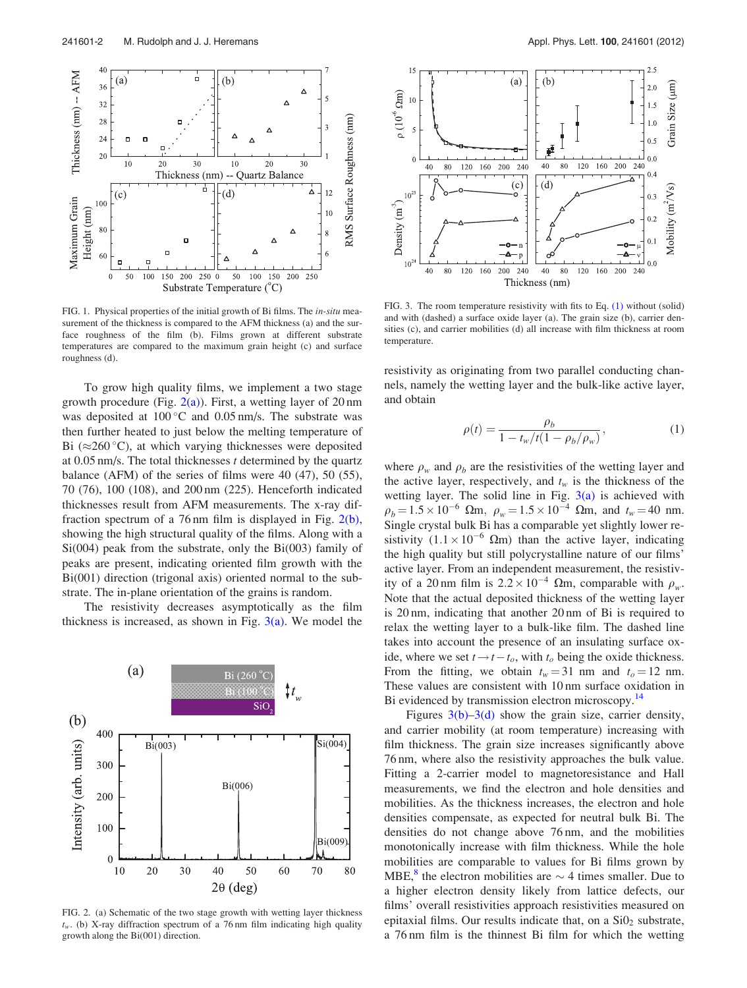<span id="page-1-0"></span>

FIG. 1. Physical properties of the initial growth of Bi films. The in-situ measurement of the thickness is compared to the AFM thickness (a) and the surface roughness of the film (b). Films grown at different substrate temperatures are compared to the maximum grain height (c) and surface roughness (d).

To grow high quality films, we implement a two stage growth procedure (Fig.  $2(a)$ ). First, a wetting layer of 20 nm was deposited at  $100^{\circ}$ C and  $0.05$  nm/s. The substrate was then further heated to just below the melting temperature of Bi ( $\approx$ 260 °C), at which varying thicknesses were deposited at  $0.05$  nm/s. The total thicknesses t determined by the quartz balance (AFM) of the series of films were 40 (47), 50 (55), 70 (76), 100 (108), and 200 nm (225). Henceforth indicated thicknesses result from AFM measurements. The x-ray diffraction spectrum of a 76 nm film is displayed in Fig.  $2(b)$ , showing the high structural quality of the films. Along with a Si(004) peak from the substrate, only the Bi(003) family of peaks are present, indicating oriented film growth with the Bi(001) direction (trigonal axis) oriented normal to the substrate. The in-plane orientation of the grains is random.

The resistivity decreases asymptotically as the film thickness is increased, as shown in Fig.  $3(a)$ . We model the



FIG. 2. (a) Schematic of the two stage growth with wetting layer thickness  $t_w$ . (b) X-ray diffraction spectrum of a 76 nm film indicating high quality growth along the Bi(001) direction.



FIG. 3. The room temperature resistivity with fits to Eq. (1) without (solid) and with (dashed) a surface oxide layer (a). The grain size (b), carrier densities (c), and carrier mobilities (d) all increase with film thickness at room temperature.

resistivity as originating from two parallel conducting channels, namely the wetting layer and the bulk-like active layer, and obtain

$$
\rho(t) = \frac{\rho_b}{1 - t_w/t(1 - \rho_b/\rho_w)},
$$
\n(1)

where  $\rho_w$  and  $\rho_b$  are the resistivities of the wetting layer and the active layer, respectively, and  $t_w$  is the thickness of the wetting layer. The solid line in Fig.  $3(a)$  is achieved with  $\rho_b = 1.5 \times 10^{-6}$  Ωm,  $\rho_w = 1.5 \times 10^{-4}$  Ωm, and  $t_w = 40$  nm. Single crystal bulk Bi has a comparable yet slightly lower resistivity  $(1.1 \times 10^{-6} \Omega m)$  than the active layer, indicating the high quality but still polycrystalline nature of our films' active layer. From an independent measurement, the resistivity of a 20 nm film is  $2.2 \times 10^{-4}$  Ωm, comparable with  $\rho_w$ . Note that the actual deposited thickness of the wetting layer is 20 nm, indicating that another 20 nm of Bi is required to relax the wetting layer to a bulk-like film. The dashed line takes into account the presence of an insulating surface oxide, where we set  $t \rightarrow t - t_o$ , with  $t_o$  being the oxide thickness. From the fitting, we obtain  $t_w = 31$  nm and  $t_o = 12$  nm. These values are consistent with 10 nm surface oxidation in Bi evidenced by transmission electron microscopy.<sup>[14](#page-3-0)</sup>

Figures  $3(b)-3(d)$  show the grain size, carrier density, and carrier mobility (at room temperature) increasing with film thickness. The grain size increases significantly above 76 nm, where also the resistivity approaches the bulk value. Fitting a 2-carrier model to magnetoresistance and Hall measurements, we find the electron and hole densities and mobilities. As the thickness increases, the electron and hole densities compensate, as expected for neutral bulk Bi. The densities do not change above 76 nm, and the mobilities monotonically increase with film thickness. While the hole mobilities are comparable to values for Bi films grown by MBE,<sup>[8](#page-2-0)</sup> the electron mobilities are  $\sim$  4 times smaller. Due to a higher electron density likely from lattice defects, our films' overall resistivities approach resistivities measured on epitaxial films. Our results indicate that, on a  $SiO<sub>2</sub>$  substrate, a 76 nm film is the thinnest Bi film for which the wetting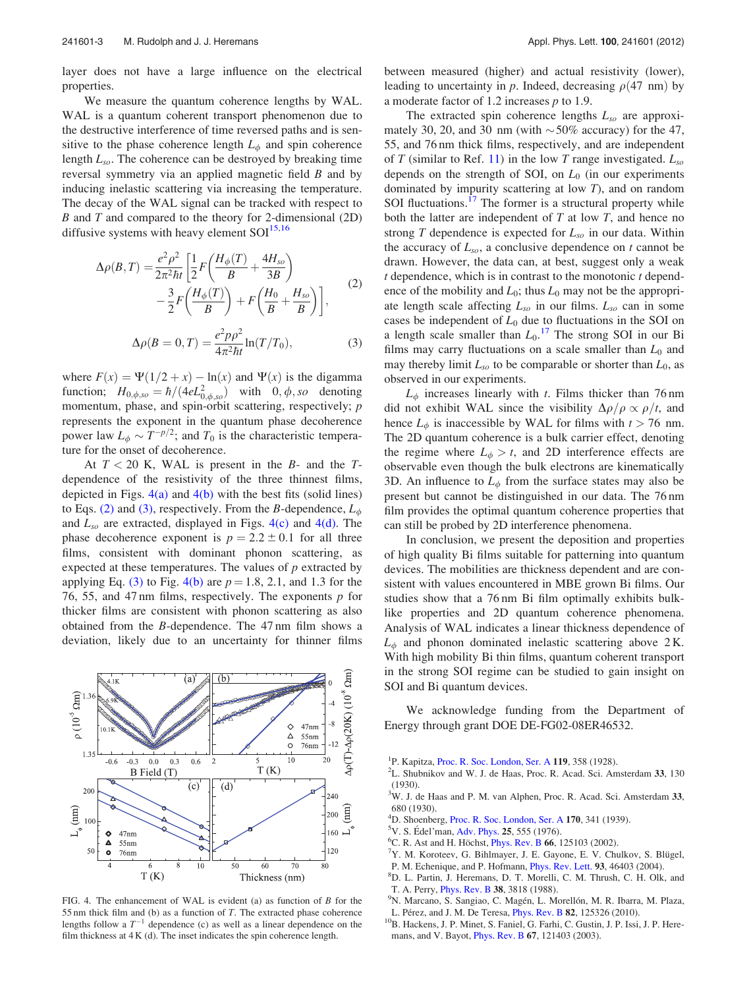<span id="page-2-0"></span>layer does not have a large influence on the electrical properties.

We measure the quantum coherence lengths by WAL. WAL is a quantum coherent transport phenomenon due to the destructive interference of time reversed paths and is sensitive to the phase coherence length  $L_{\phi}$  and spin coherence length  $L_{so}$ . The coherence can be destroyed by breaking time reversal symmetry via an applied magnetic field B and by inducing inelastic scattering via increasing the temperature. The decay of the WAL signal can be tracked with respect to B and T and compared to the theory for 2-dimensional (2D) diffusive systems with heavy element  $SOI<sup>15,16</sup>$  $SOI<sup>15,16</sup>$  $SOI<sup>15,16</sup>$ 

$$
\Delta \rho(B, T) = \frac{e^2 \rho^2}{2\pi^2 \hbar t} \left[ \frac{1}{2} F \left( \frac{H_{\phi}(T)}{B} + \frac{4H_{so}}{3B} \right) - \frac{3}{2} F \left( \frac{H_{\phi}(T)}{B} \right) + F \left( \frac{H_0}{B} + \frac{H_{so}}{B} \right) \right],
$$
\n(2)

$$
\Delta \rho(B=0,T) = \frac{e^2 p \rho^2}{4\pi^2 \hbar t} \ln(T/T_0),\tag{3}
$$

where  $F(x) = \Psi(1/2 + x) - \ln(x)$  and  $\Psi(x)$  is the digamma function;  $H_{0,\phi,so} = \hbar/(4eL_{0,\phi,so}^2)$  with  $0, \phi, so$  denoting momentum, phase, and spin-orbit scattering, respectively; p represents the exponent in the quantum phase decoherence power law  $L_{\phi} \sim T^{-p/2}$ ; and  $T_0$  is the characteristic temperature for the onset of decoherence.

At  $T < 20$  K, WAL is present in the  $B$ - and the  $T$ dependence of the resistivity of the three thinnest films, depicted in Figs.  $4(a)$  and  $4(b)$  with the best fits (solid lines) to Eqs. (2) and (3), respectively. From the B-dependence,  $L_{\phi}$ and  $L_{so}$  are extracted, displayed in Figs. 4(c) and 4(d). The phase decoherence exponent is  $p = 2.2 \pm 0.1$  for all three films, consistent with dominant phonon scattering, as expected at these temperatures. The values of  $p$  extracted by applying Eq. (3) to Fig. 4(b) are  $p = 1.8, 2.1$ , and 1.3 for the 76, 55, and 47 nm films, respectively. The exponents  $p$  for thicker films are consistent with phonon scattering as also obtained from the B-dependence. The 47 nm film shows a deviation, likely due to an uncertainty for thinner films



FIG. 4. The enhancement of WAL is evident (a) as function of  $B$  for the 55 nm thick film and (b) as a function of T. The extracted phase coherence lengths follow a  $T^{-1}$  dependence (c) as well as a linear dependence on the film thickness at 4 K (d). The inset indicates the spin coherence length.

between measured (higher) and actual resistivity (lower), leading to uncertainty in p. Indeed, decreasing  $\rho$ (47 nm) by a moderate factor of 1.2 increases  $p$  to 1.9.

The extracted spin coherence lengths  $L_{so}$  are approximately 30, 20, and 30 nm (with  $\sim$  50% accuracy) for the 47, 55, and 76 nm thick films, respectively, and are independent of T (similar to Ref. [11](#page-3-0)) in the low T range investigated.  $L_{so}$ depends on the strength of SOI, on  $L_0$  (in our experiments dominated by impurity scattering at low T), and on random SOI fluctuations.<sup>17</sup> The former is a structural property while both the latter are independent of  $T$  at low  $T$ , and hence no strong T dependence is expected for  $L_{so}$  in our data. Within the accuracy of  $L_{so}$ , a conclusive dependence on t cannot be drawn. However, the data can, at best, suggest only a weak  $t$  dependence, which is in contrast to the monotonic  $t$  dependence of the mobility and  $L_0$ ; thus  $L_0$  may not be the appropriate length scale affecting  $L_{so}$  in our films.  $L_{so}$  can in some cases be independent of  $L_0$  due to fluctuations in the SOI on a length scale smaller than  $L_0$ .<sup>[17](#page-3-0)</sup> The strong SOI in our Bi films may carry fluctuations on a scale smaller than  $L_0$  and may thereby limit  $L_{so}$  to be comparable or shorter than  $L_0$ , as observed in our experiments.

 $L_{\phi}$  increases linearly with t. Films thicker than 76 nm did not exhibit WAL since the visibility  $\Delta \rho / \rho \propto \rho / t$ , and hence  $L_{\phi}$  is inaccessible by WAL for films with  $t > 76$  nm. The 2D quantum coherence is a bulk carrier effect, denoting the regime where  $L_{\phi} > t$ , and 2D interference effects are observable even though the bulk electrons are kinematically 3D. An influence to  $L_{\phi}$  from the surface states may also be present but cannot be distinguished in our data. The 76 nm film provides the optimal quantum coherence properties that can still be probed by 2D interference phenomena.

In conclusion, we present the deposition and properties of high quality Bi films suitable for patterning into quantum devices. The mobilities are thickness dependent and are consistent with values encountered in MBE grown Bi films. Our studies show that a 76 nm Bi film optimally exhibits bulklike properties and 2D quantum coherence phenomena. Analysis of WAL indicates a linear thickness dependence of  $L_{\phi}$  and phonon dominated inelastic scattering above 2 K. With high mobility Bi thin films, quantum coherent transport in the strong SOI regime can be studied to gain insight on SOI and Bi quantum devices.

We acknowledge funding from the Department of Energy through grant DOE DE-FG02-08ER46532.

- <sup>1</sup>P. Kapitza, [Proc. R. Soc. London, Ser. A](http://dx.doi.org/10.1098/rspa.1928.0103) 119, 358 (1928).
- ${}^{2}$ L. Shubnikov and W. J. de Haas, Proc. R. Acad. Sci. Amsterdam 33, 130 (1930).
- $3W$ . J. de Haas and P. M. van Alphen, Proc. R. Acad. Sci. Amsterdam 33, 680 (1930).
- <sup>4</sup>D. Shoenberg, [Proc. R. Soc. London, Ser. A](http://dx.doi.org/10.1098/rspa.1939.0036) 170, 341 (1939).<br><sup>5</sup>V. S. Édal'man, Adv. Phys. **25**, 555 (1976).
- $5V. S.$  Édel'man, [Adv. Phys.](http://dx.doi.org/10.1080/00018737600101452) 25, 555 (1976).
- ${}^{6}$ C. R. Ast and H. Höchst, *[Phys. Rev. B](http://dx.doi.org/10.1103/PhysRevB.66.125103)* 66, 125103 (2002).
- $7Y$ . M. Koroteev, G. Bihlmayer, J. E. Gayone, E. V. Chulkov, S. Blügel,
- P. M. Echenique, and P. Hofmann, *[Phys. Rev. Lett.](http://dx.doi.org/10.1103/PhysRevLett.93.046403)* 93, 46403 (2004).
- D. L. Partin, J. Heremans, D. T. Morelli, C. M. Thrush, C. H. Olk, and
- T. A. Perry, *[Phys. Rev. B](http://dx.doi.org/10.1103/PhysRevB.38.3818)* 38, 3818 (1988).
- <sup>9</sup>N. Marcano, S. Sangiao, C. Magén, L. Morellón, M. R. Ibarra, M. Plaza, L. Pérez, and J. M. De Teresa, *Phys. Rev. B* **82**, 125326 (2010).
- <sup>10</sup>B. Hackens, J. P. Minet, S. Faniel, G. Farhi, C. Gustin, J. P. Issi, J. P. Heremans, and V. Bayot, [Phys. Rev. B](http://dx.doi.org/10.1103/PhysRevB.67.121403) 67, 121403 (2003).